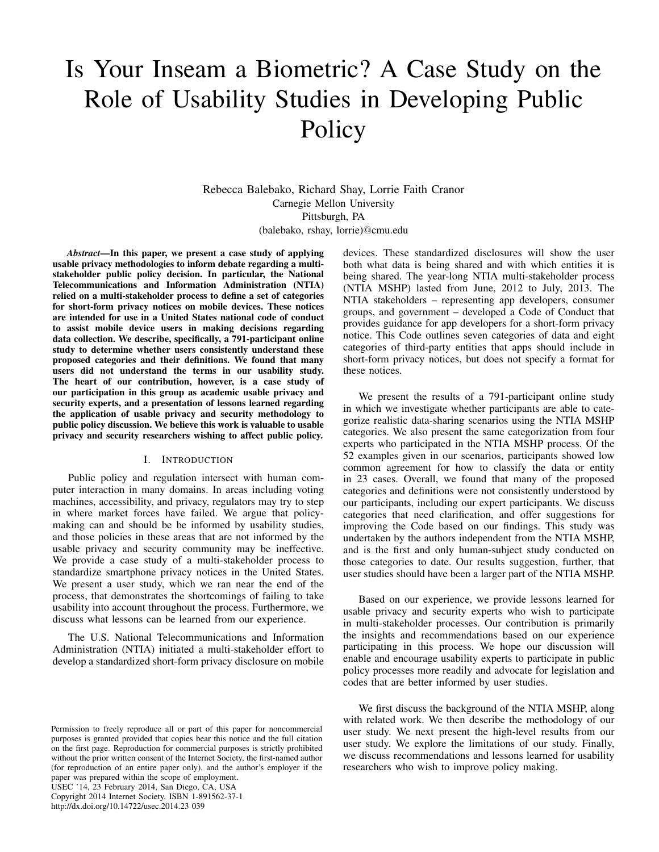# Is Your Inseam a Biometric? A Case Study on the Role of Usability Studies in Developing Public Policy

Rebecca Balebako, Richard Shay, Lorrie Faith Cranor Carnegie Mellon University Pittsburgh, PA (balebako, rshay, lorrie)@cmu.edu

*Abstract*—In this paper, we present a case study of applying usable privacy methodologies to inform debate regarding a multistakeholder public policy decision. In particular, the National Telecommunications and Information Administration (NTIA) relied on a multi-stakeholder process to define a set of categories for short-form privacy notices on mobile devices. These notices are intended for use in a United States national code of conduct to assist mobile device users in making decisions regarding data collection. We describe, specifically, a 791-participant online study to determine whether users consistently understand these proposed categories and their definitions. We found that many users did not understand the terms in our usability study. The heart of our contribution, however, is a case study of our participation in this group as academic usable privacy and security experts, and a presentation of lessons learned regarding the application of usable privacy and security methodology to public policy discussion. We believe this work is valuable to usable privacy and security researchers wishing to affect public policy.

#### I. INTRODUCTION

Public policy and regulation intersect with human computer interaction in many domains. In areas including voting machines, accessibility, and privacy, regulators may try to step in where market forces have failed. We argue that policymaking can and should be be informed by usability studies, and those policies in these areas that are not informed by the usable privacy and security community may be ineffective. We provide a case study of a multi-stakeholder process to standardize smartphone privacy notices in the United States. We present a user study, which we ran near the end of the process, that demonstrates the shortcomings of failing to take usability into account throughout the process. Furthermore, we discuss what lessons can be learned from our experience.

The U.S. National Telecommunications and Information Administration (NTIA) initiated a multi-stakeholder effort to develop a standardized short-form privacy disclosure on mobile

Permission to freely reproduce all or part of this paper for noncommercial purposes is granted provided that copies bear this notice and the full citation on the first page. Reproduction for commercial purposes is strictly prohibited without the prior written consent of the Internet Society, the first-named author (for reproduction of an entire paper only), and the author's employer if the paper was prepared within the scope of employment.

USEC '14, 23 February 2014, San Diego, CA, USA Copyright 2014 Internet Society, ISBN 1-891562-37-1

http://dx.doi.org/10.14722/usec.2014.23 039

devices. These standardized disclosures will show the user both what data is being shared and with which entities it is being shared. The year-long NTIA multi-stakeholder process (NTIA MSHP) lasted from June, 2012 to July, 2013. The NTIA stakeholders – representing app developers, consumer groups, and government – developed a Code of Conduct that provides guidance for app developers for a short-form privacy notice. This Code outlines seven categories of data and eight categories of third-party entities that apps should include in short-form privacy notices, but does not specify a format for these notices.

We present the results of a 791-participant online study in which we investigate whether participants are able to categorize realistic data-sharing scenarios using the NTIA MSHP categories. We also present the same categorization from four experts who participated in the NTIA MSHP process. Of the 52 examples given in our scenarios, participants showed low common agreement for how to classify the data or entity in 23 cases. Overall, we found that many of the proposed categories and definitions were not consistently understood by our participants, including our expert participants. We discuss categories that need clarification, and offer suggestions for improving the Code based on our findings. This study was undertaken by the authors independent from the NTIA MSHP, and is the first and only human-subject study conducted on those categories to date. Our results suggestion, further, that user studies should have been a larger part of the NTIA MSHP.

Based on our experience, we provide lessons learned for usable privacy and security experts who wish to participate in multi-stakeholder processes. Our contribution is primarily the insights and recommendations based on our experience participating in this process. We hope our discussion will enable and encourage usability experts to participate in public policy processes more readily and advocate for legislation and codes that are better informed by user studies.

We first discuss the background of the NTIA MSHP, along with related work. We then describe the methodology of our user study. We next present the high-level results from our user study. We explore the limitations of our study. Finally, we discuss recommendations and lessons learned for usability researchers who wish to improve policy making.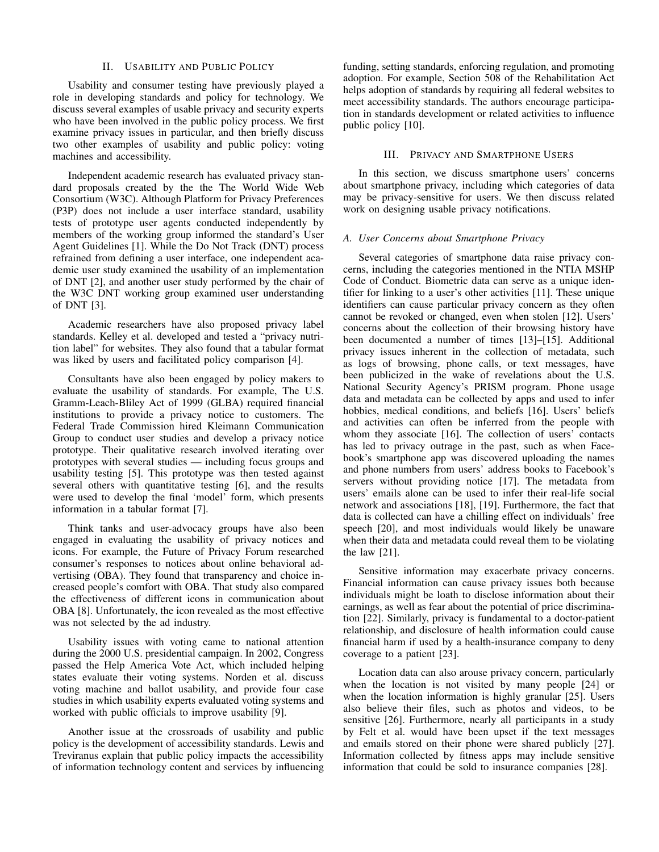## II. USABILITY AND PUBLIC POLICY

Usability and consumer testing have previously played a role in developing standards and policy for technology. We discuss several examples of usable privacy and security experts who have been involved in the public policy process. We first examine privacy issues in particular, and then briefly discuss two other examples of usability and public policy: voting machines and accessibility.

Independent academic research has evaluated privacy standard proposals created by the the The World Wide Web Consortium (W3C). Although Platform for Privacy Preferences (P3P) does not include a user interface standard, usability tests of prototype user agents conducted independently by members of the working group informed the standard's User Agent Guidelines [1]. While the Do Not Track (DNT) process refrained from defining a user interface, one independent academic user study examined the usability of an implementation of DNT [2], and another user study performed by the chair of the W3C DNT working group examined user understanding of DNT [3].

Academic researchers have also proposed privacy label standards. Kelley et al. developed and tested a "privacy nutrition label" for websites. They also found that a tabular format was liked by users and facilitated policy comparison [4].

Consultants have also been engaged by policy makers to evaluate the usability of standards. For example, The U.S. Gramm-Leach-Bliley Act of 1999 (GLBA) required financial institutions to provide a privacy notice to customers. The Federal Trade Commission hired Kleimann Communication Group to conduct user studies and develop a privacy notice prototype. Their qualitative research involved iterating over prototypes with several studies — including focus groups and usability testing [5]. This prototype was then tested against several others with quantitative testing [6], and the results were used to develop the final 'model' form, which presents information in a tabular format [7].

Think tanks and user-advocacy groups have also been engaged in evaluating the usability of privacy notices and icons. For example, the Future of Privacy Forum researched consumer's responses to notices about online behavioral advertising (OBA). They found that transparency and choice increased people's comfort with OBA. That study also compared the effectiveness of different icons in communication about OBA [8]. Unfortunately, the icon revealed as the most effective was not selected by the ad industry.

Usability issues with voting came to national attention during the 2000 U.S. presidential campaign. In 2002, Congress passed the Help America Vote Act, which included helping states evaluate their voting systems. Norden et al. discuss voting machine and ballot usability, and provide four case studies in which usability experts evaluated voting systems and worked with public officials to improve usability [9].

Another issue at the crossroads of usability and public policy is the development of accessibility standards. Lewis and Treviranus explain that public policy impacts the accessibility of information technology content and services by influencing funding, setting standards, enforcing regulation, and promoting adoption. For example, Section 508 of the Rehabilitation Act helps adoption of standards by requiring all federal websites to meet accessibility standards. The authors encourage participation in standards development or related activities to influence public policy [10].

## III. PRIVACY AND SMARTPHONE USERS

In this section, we discuss smartphone users' concerns about smartphone privacy, including which categories of data may be privacy-sensitive for users. We then discuss related work on designing usable privacy notifications.

#### *A. User Concerns about Smartphone Privacy*

Several categories of smartphone data raise privacy concerns, including the categories mentioned in the NTIA MSHP Code of Conduct. Biometric data can serve as a unique identifier for linking to a user's other activities [11]. These unique identifiers can cause particular privacy concern as they often cannot be revoked or changed, even when stolen [12]. Users' concerns about the collection of their browsing history have been documented a number of times [13]–[15]. Additional privacy issues inherent in the collection of metadata, such as logs of browsing, phone calls, or text messages, have been publicized in the wake of revelations about the U.S. National Security Agency's PRISM program. Phone usage data and metadata can be collected by apps and used to infer hobbies, medical conditions, and beliefs [16]. Users' beliefs and activities can often be inferred from the people with whom they associate [16]. The collection of users' contacts has led to privacy outrage in the past, such as when Facebook's smartphone app was discovered uploading the names and phone numbers from users' address books to Facebook's servers without providing notice [17]. The metadata from users' emails alone can be used to infer their real-life social network and associations [18], [19]. Furthermore, the fact that data is collected can have a chilling effect on individuals' free speech [20], and most individuals would likely be unaware when their data and metadata could reveal them to be violating the law [21].

Sensitive information may exacerbate privacy concerns. Financial information can cause privacy issues both because individuals might be loath to disclose information about their earnings, as well as fear about the potential of price discrimination [22]. Similarly, privacy is fundamental to a doctor-patient relationship, and disclosure of health information could cause financial harm if used by a health-insurance company to deny coverage to a patient [23].

Location data can also arouse privacy concern, particularly when the location is not visited by many people [24] or when the location information is highly granular [25]. Users also believe their files, such as photos and videos, to be sensitive [26]. Furthermore, nearly all participants in a study by Felt et al. would have been upset if the text messages and emails stored on their phone were shared publicly [27]. Information collected by fitness apps may include sensitive information that could be sold to insurance companies [28].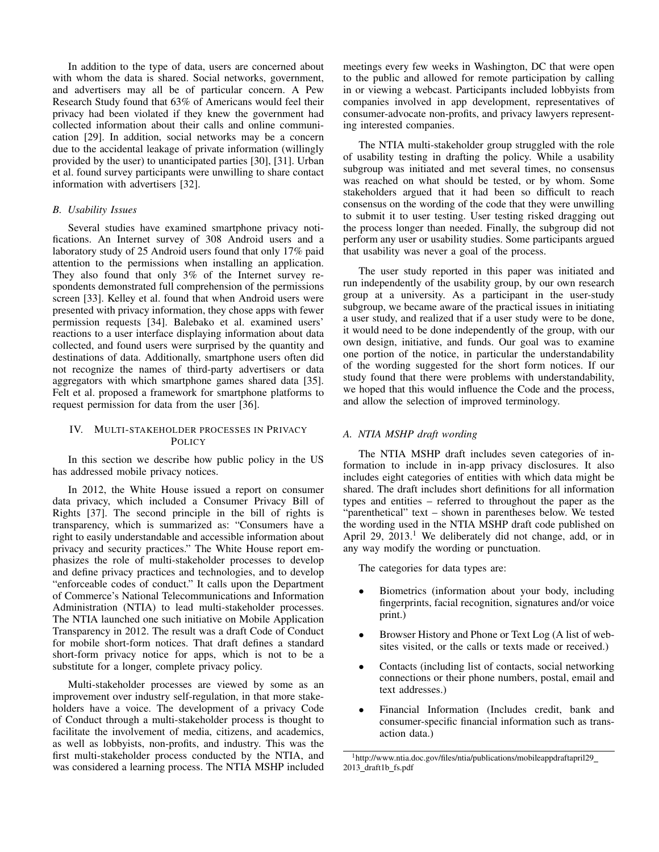In addition to the type of data, users are concerned about with whom the data is shared. Social networks, government, and advertisers may all be of particular concern. A Pew Research Study found that 63% of Americans would feel their privacy had been violated if they knew the government had collected information about their calls and online communication [29]. In addition, social networks may be a concern due to the accidental leakage of private information (willingly provided by the user) to unanticipated parties [30], [31]. Urban et al. found survey participants were unwilling to share contact information with advertisers [32].

## *B. Usability Issues*

Several studies have examined smartphone privacy notifications. An Internet survey of 308 Android users and a laboratory study of 25 Android users found that only 17% paid attention to the permissions when installing an application. They also found that only 3% of the Internet survey respondents demonstrated full comprehension of the permissions screen [33]. Kelley et al. found that when Android users were presented with privacy information, they chose apps with fewer permission requests [34]. Balebako et al. examined users' reactions to a user interface displaying information about data collected, and found users were surprised by the quantity and destinations of data. Additionally, smartphone users often did not recognize the names of third-party advertisers or data aggregators with which smartphone games shared data [35]. Felt et al. proposed a framework for smartphone platforms to request permission for data from the user [36].

# IV. MULTI-STAKEHOLDER PROCESSES IN PRIVACY **POLICY**

In this section we describe how public policy in the US has addressed mobile privacy notices.

In 2012, the White House issued a report on consumer data privacy, which included a Consumer Privacy Bill of Rights [37]. The second principle in the bill of rights is transparency, which is summarized as: "Consumers have a right to easily understandable and accessible information about privacy and security practices." The White House report emphasizes the role of multi-stakeholder processes to develop and define privacy practices and technologies, and to develop "enforceable codes of conduct." It calls upon the Department of Commerce's National Telecommunications and Information Administration (NTIA) to lead multi-stakeholder processes. The NTIA launched one such initiative on Mobile Application Transparency in 2012. The result was a draft Code of Conduct for mobile short-form notices. That draft defines a standard short-form privacy notice for apps, which is not to be a substitute for a longer, complete privacy policy.

Multi-stakeholder processes are viewed by some as an improvement over industry self-regulation, in that more stakeholders have a voice. The development of a privacy Code of Conduct through a multi-stakeholder process is thought to facilitate the involvement of media, citizens, and academics, as well as lobbyists, non-profits, and industry. This was the first multi-stakeholder process conducted by the NTIA, and was considered a learning process. The NTIA MSHP included meetings every few weeks in Washington, DC that were open to the public and allowed for remote participation by calling in or viewing a webcast. Participants included lobbyists from companies involved in app development, representatives of consumer-advocate non-profits, and privacy lawyers representing interested companies.

The NTIA multi-stakeholder group struggled with the role of usability testing in drafting the policy. While a usability subgroup was initiated and met several times, no consensus was reached on what should be tested, or by whom. Some stakeholders argued that it had been so difficult to reach consensus on the wording of the code that they were unwilling to submit it to user testing. User testing risked dragging out the process longer than needed. Finally, the subgroup did not perform any user or usability studies. Some participants argued that usability was never a goal of the process.

The user study reported in this paper was initiated and run independently of the usability group, by our own research group at a university. As a participant in the user-study subgroup, we became aware of the practical issues in initiating a user study, and realized that if a user study were to be done, it would need to be done independently of the group, with our own design, initiative, and funds. Our goal was to examine one portion of the notice, in particular the understandability of the wording suggested for the short form notices. If our study found that there were problems with understandability, we hoped that this would influence the Code and the process, and allow the selection of improved terminology.

# *A. NTIA MSHP draft wording*

The NTIA MSHP draft includes seven categories of information to include in in-app privacy disclosures. It also includes eight categories of entities with which data might be shared. The draft includes short definitions for all information types and entities – referred to throughout the paper as the "parenthetical" text – shown in parentheses below. We tested the wording used in the NTIA MSHP draft code published on April 29,  $2013<sup>1</sup>$  We deliberately did not change, add, or in any way modify the wording or punctuation.

The categories for data types are:

- Biometrics (information about your body, including fingerprints, facial recognition, signatures and/or voice print.)
- Browser History and Phone or Text Log (A list of websites visited, or the calls or texts made or received.)
- Contacts (including list of contacts, social networking connections or their phone numbers, postal, email and text addresses.)
- Financial Information (Includes credit, bank and consumer-specific financial information such as transaction data.)

<sup>1</sup>http://www.ntia.doc.gov/files/ntia/publications/mobileappdraftapril29 2013 draft1b fs.pdf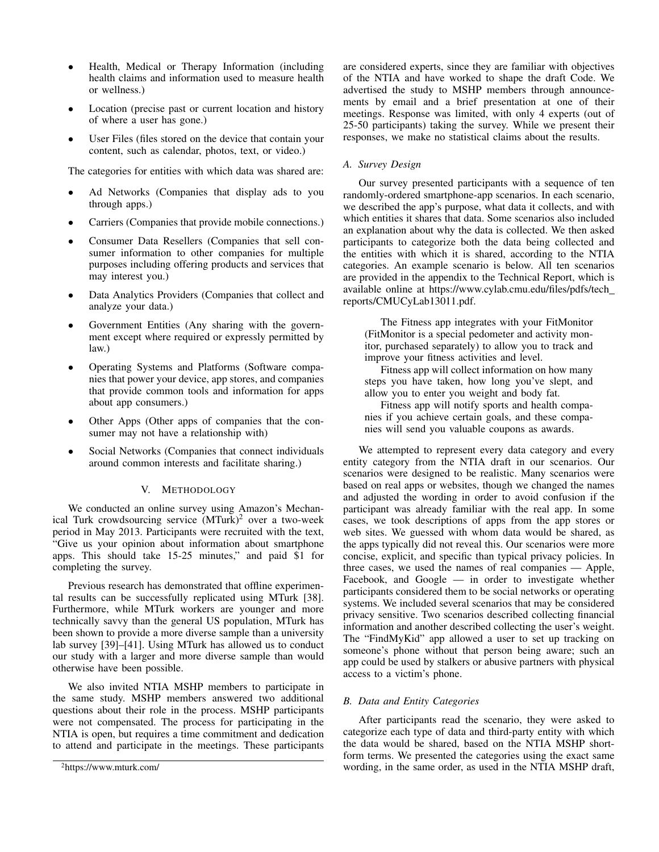- Health, Medical or Therapy Information (including health claims and information used to measure health or wellness.)
- Location (precise past or current location and history of where a user has gone.)
- User Files (files stored on the device that contain your content, such as calendar, photos, text, or video.)

The categories for entities with which data was shared are:

- Ad Networks (Companies that display ads to you through apps.)
- Carriers (Companies that provide mobile connections.)
- Consumer Data Resellers (Companies that sell consumer information to other companies for multiple purposes including offering products and services that may interest you.)
- Data Analytics Providers (Companies that collect and analyze your data.)
- Government Entities (Any sharing with the government except where required or expressly permitted by law.)
- Operating Systems and Platforms (Software companies that power your device, app stores, and companies that provide common tools and information for apps about app consumers.)
- Other Apps (Other apps of companies that the consumer may not have a relationship with)
- Social Networks (Companies that connect individuals around common interests and facilitate sharing.)

# V. METHODOLOGY

We conducted an online survey using Amazon's Mechanical Turk crowdsourcing service  $(MTurk)^2$  over a two-week period in May 2013. Participants were recruited with the text, "Give us your opinion about information about smartphone apps. This should take 15-25 minutes," and paid \$1 for completing the survey.

Previous research has demonstrated that offline experimental results can be successfully replicated using MTurk [38]. Furthermore, while MTurk workers are younger and more technically savvy than the general US population, MTurk has been shown to provide a more diverse sample than a university lab survey [39]–[41]. Using MTurk has allowed us to conduct our study with a larger and more diverse sample than would otherwise have been possible.

We also invited NTIA MSHP members to participate in the same study. MSHP members answered two additional questions about their role in the process. MSHP participants were not compensated. The process for participating in the NTIA is open, but requires a time commitment and dedication to attend and participate in the meetings. These participants are considered experts, since they are familiar with objectives of the NTIA and have worked to shape the draft Code. We advertised the study to MSHP members through announcements by email and a brief presentation at one of their meetings. Response was limited, with only 4 experts (out of 25-50 participants) taking the survey. While we present their responses, we make no statistical claims about the results.

# *A. Survey Design*

Our survey presented participants with a sequence of ten randomly-ordered smartphone-app scenarios. In each scenario, we described the app's purpose, what data it collects, and with which entities it shares that data. Some scenarios also included an explanation about why the data is collected. We then asked participants to categorize both the data being collected and the entities with which it is shared, according to the NTIA categories. An example scenario is below. All ten scenarios are provided in the appendix to the Technical Report, which is available online at https://www.cylab.cmu.edu/files/pdfs/tech reports/CMUCyLab13011.pdf.

The Fitness app integrates with your FitMonitor (FitMonitor is a special pedometer and activity monitor, purchased separately) to allow you to track and improve your fitness activities and level.

Fitness app will collect information on how many steps you have taken, how long you've slept, and allow you to enter you weight and body fat.

Fitness app will notify sports and health companies if you achieve certain goals, and these companies will send you valuable coupons as awards.

We attempted to represent every data category and every entity category from the NTIA draft in our scenarios. Our scenarios were designed to be realistic. Many scenarios were based on real apps or websites, though we changed the names and adjusted the wording in order to avoid confusion if the participant was already familiar with the real app. In some cases, we took descriptions of apps from the app stores or web sites. We guessed with whom data would be shared, as the apps typically did not reveal this. Our scenarios were more concise, explicit, and specific than typical privacy policies. In three cases, we used the names of real companies — Apple, Facebook, and Google — in order to investigate whether participants considered them to be social networks or operating systems. We included several scenarios that may be considered privacy sensitive. Two scenarios described collecting financial information and another described collecting the user's weight. The "FindMyKid" app allowed a user to set up tracking on someone's phone without that person being aware; such an app could be used by stalkers or abusive partners with physical access to a victim's phone.

# *B. Data and Entity Categories*

After participants read the scenario, they were asked to categorize each type of data and third-party entity with which the data would be shared, based on the NTIA MSHP shortform terms. We presented the categories using the exact same wording, in the same order, as used in the NTIA MSHP draft,

<sup>2</sup>https://www.mturk.com/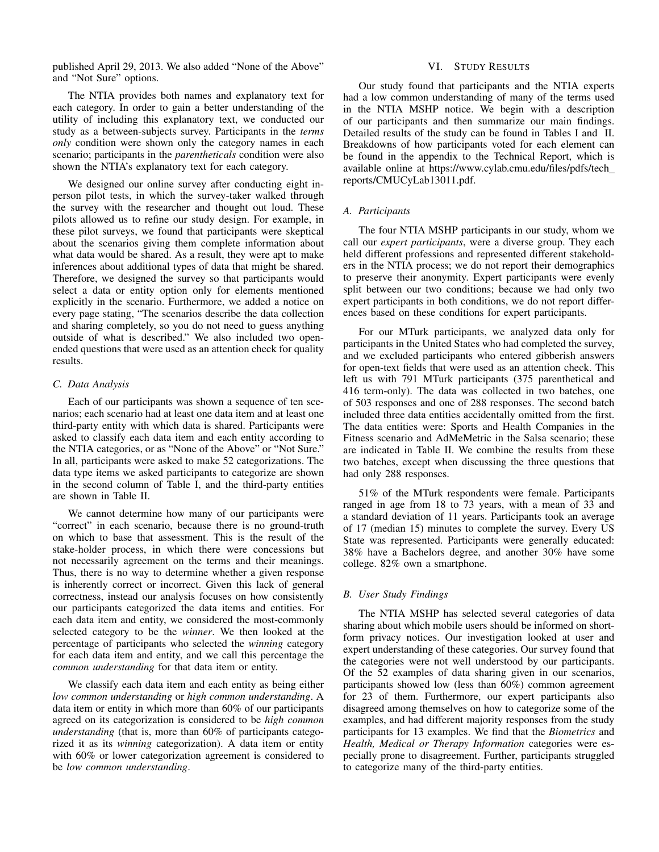published April 29, 2013. We also added "None of the Above" and "Not Sure" options.

The NTIA provides both names and explanatory text for each category. In order to gain a better understanding of the utility of including this explanatory text, we conducted our study as a between-subjects survey. Participants in the *terms only* condition were shown only the category names in each scenario; participants in the *parentheticals* condition were also shown the NTIA's explanatory text for each category.

We designed our online survey after conducting eight inperson pilot tests, in which the survey-taker walked through the survey with the researcher and thought out loud. These pilots allowed us to refine our study design. For example, in these pilot surveys, we found that participants were skeptical about the scenarios giving them complete information about what data would be shared. As a result, they were apt to make inferences about additional types of data that might be shared. Therefore, we designed the survey so that participants would select a data or entity option only for elements mentioned explicitly in the scenario. Furthermore, we added a notice on every page stating, "The scenarios describe the data collection and sharing completely, so you do not need to guess anything outside of what is described." We also included two openended questions that were used as an attention check for quality results.

## *C. Data Analysis*

Each of our participants was shown a sequence of ten scenarios; each scenario had at least one data item and at least one third-party entity with which data is shared. Participants were asked to classify each data item and each entity according to the NTIA categories, or as "None of the Above" or "Not Sure." In all, participants were asked to make 52 categorizations. The data type items we asked participants to categorize are shown in the second column of Table I, and the third-party entities are shown in Table II.

We cannot determine how many of our participants were "correct" in each scenario, because there is no ground-truth on which to base that assessment. This is the result of the stake-holder process, in which there were concessions but not necessarily agreement on the terms and their meanings. Thus, there is no way to determine whether a given response is inherently correct or incorrect. Given this lack of general correctness, instead our analysis focuses on how consistently our participants categorized the data items and entities. For each data item and entity, we considered the most-commonly selected category to be the *winner*. We then looked at the percentage of participants who selected the *winning* category for each data item and entity, and we call this percentage the *common understanding* for that data item or entity.

We classify each data item and each entity as being either *low common understanding* or *high common understanding*. A data item or entity in which more than 60% of our participants agreed on its categorization is considered to be *high common understanding* (that is, more than 60% of participants categorized it as its *winning* categorization). A data item or entity with 60% or lower categorization agreement is considered to be *low common understanding*.

## VI. STUDY RESULTS

Our study found that participants and the NTIA experts had a low common understanding of many of the terms used in the NTIA MSHP notice. We begin with a description of our participants and then summarize our main findings. Detailed results of the study can be found in Tables I and II. Breakdowns of how participants voted for each element can be found in the appendix to the Technical Report, which is available online at https://www.cylab.cmu.edu/files/pdfs/tech reports/CMUCyLab13011.pdf.

## *A. Participants*

The four NTIA MSHP participants in our study, whom we call our *expert participants*, were a diverse group. They each held different professions and represented different stakeholders in the NTIA process; we do not report their demographics to preserve their anonymity. Expert participants were evenly split between our two conditions; because we had only two expert participants in both conditions, we do not report differences based on these conditions for expert participants.

For our MTurk participants, we analyzed data only for participants in the United States who had completed the survey, and we excluded participants who entered gibberish answers for open-text fields that were used as an attention check. This left us with 791 MTurk participants (375 parenthetical and 416 term-only). The data was collected in two batches, one of 503 responses and one of 288 responses. The second batch included three data entities accidentally omitted from the first. The data entities were: Sports and Health Companies in the Fitness scenario and AdMeMetric in the Salsa scenario; these are indicated in Table II. We combine the results from these two batches, except when discussing the three questions that had only 288 responses.

51% of the MTurk respondents were female. Participants ranged in age from 18 to 73 years, with a mean of 33 and a standard deviation of 11 years. Participants took an average of 17 (median 15) minutes to complete the survey. Every US State was represented. Participants were generally educated: 38% have a Bachelors degree, and another 30% have some college. 82% own a smartphone.

### *B. User Study Findings*

The NTIA MSHP has selected several categories of data sharing about which mobile users should be informed on shortform privacy notices. Our investigation looked at user and expert understanding of these categories. Our survey found that the categories were not well understood by our participants. Of the 52 examples of data sharing given in our scenarios, participants showed low (less than 60%) common agreement for 23 of them. Furthermore, our expert participants also disagreed among themselves on how to categorize some of the examples, and had different majority responses from the study participants for 13 examples. We find that the *Biometrics* and *Health, Medical or Therapy Information* categories were especially prone to disagreement. Further, participants struggled to categorize many of the third-party entities.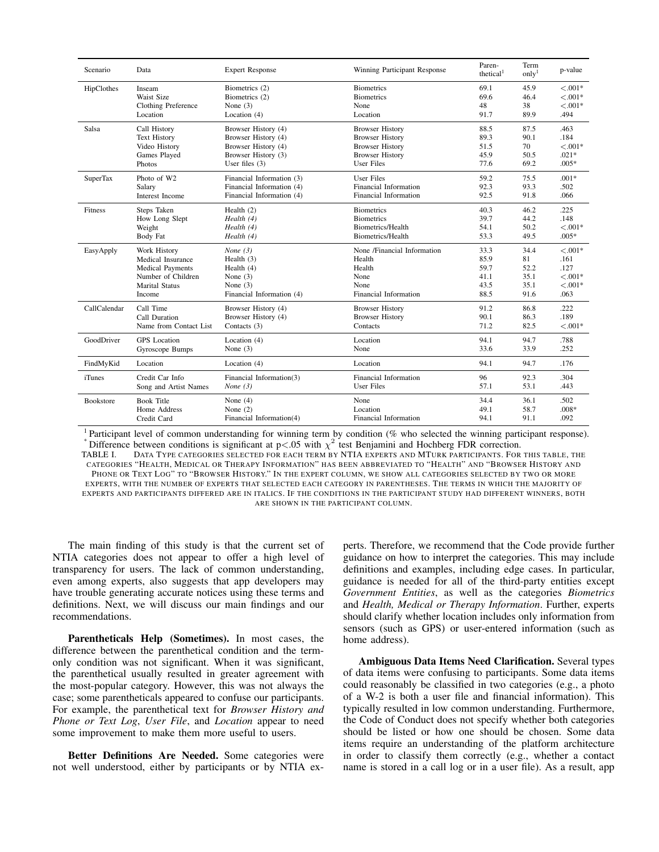| Scenario         | Data                    | <b>Expert Response</b>    | Winning Participant Response | Paren-<br>thetical <sup>1</sup> | Term<br>onlv <sup>1</sup> | p-value   |
|------------------|-------------------------|---------------------------|------------------------------|---------------------------------|---------------------------|-----------|
| HipClothes       | Inseam                  | Biometrics (2)            | <b>Biometrics</b>            | 69.1                            | 45.9                      | $< .001*$ |
|                  | Waist Size              | Biometrics (2)            | <b>Biometrics</b>            | 69.6                            | 46.4                      | $< .001*$ |
|                  | Clothing Preference     | None $(3)$                | None                         | 48                              | 38                        | $< .001*$ |
|                  | Location                | Location $(4)$            | Location                     | 91.7                            | 89.9                      | .494      |
| Salsa            | Call History            | Browser History (4)       | <b>Browser History</b>       | 88.5                            | 87.5                      | .463      |
|                  | <b>Text History</b>     | Browser History (4)       | <b>Browser History</b>       | 89.3                            | 90.1                      | .184      |
|                  | Video History           | Browser History (4)       | <b>Browser History</b>       | 51.5                            | 70                        | $< .001*$ |
|                  | Games Played            | Browser History (3)       | <b>Browser History</b>       | 45.9                            | 50.5                      | $.021*$   |
|                  | Photos                  | User files $(3)$          | User Files                   | 77.6                            | 69.2                      | $.005*$   |
| <b>SuperTax</b>  | Photo of W2             | Financial Information (3) | <b>User Files</b>            | 59.2                            | 75.5                      | $.001*$   |
|                  | Salary                  | Financial Information (4) | Financial Information        | 92.3                            | 93.3                      | .502      |
|                  | Interest Income         | Financial Information (4) | Financial Information        | 92.5                            | 91.8                      | .066      |
| Fitness          | Steps Taken             | Health $(2)$              | <b>Biometrics</b>            | 40.3                            | 46.2                      | .225      |
|                  | How Long Slept          | Health (4)                | <b>Biometrics</b>            | 39.7                            | 44.2                      | .148      |
|                  | Weight                  | Health (4)                | <b>Biometrics/Health</b>     | 54.1                            | 50.2                      | $< .001*$ |
|                  | Body Fat                | Health (4)                | Biometrics/Health            | 53.3                            | 49.5                      | $.005*$   |
| EasyApply        | Work History            | None $(3)$                | None /Financial Information  | 33.3                            | 34.4                      | $< .001*$ |
|                  | Medical Insurance       | Health $(3)$              | Health                       | 85.9                            | 81                        | .161      |
|                  | <b>Medical Payments</b> | Health $(4)$              | Health                       | 59.7                            | 52.2                      | .127      |
|                  | Number of Children      | None $(3)$                | None                         | 41.1                            | 35.1                      | $< .001*$ |
|                  | <b>Marital Status</b>   | None $(3)$                | None                         | 43.5                            | 35.1                      | $< .001*$ |
|                  | Income                  | Financial Information (4) | Financial Information        | 88.5                            | 91.6                      | .063      |
| CallCalendar     | Call Time               | Browser History (4)       | <b>Browser History</b>       | 91.2                            | 86.8                      | .222      |
|                  | Call Duration           | Browser History (4)       | <b>Browser History</b>       | 90.1                            | 86.3                      | .189      |
|                  | Name from Contact List  | Contacts $(3)$            | Contacts                     | 71.2                            | 82.5                      | $< .001*$ |
| GoodDriver       | <b>GPS</b> Location     | Location (4)              | Location                     | 94.1                            | 94.7                      | .788      |
|                  | Gyroscope Bumps         | None $(3)$                | None                         | 33.6                            | 33.9                      | .252      |
| FindMyKid        | Location                | Location $(4)$            | Location                     | 94.1                            | 94.7                      | .176      |
| <i>i</i> Tunes   | Credit Car Info         | Financial Information(3)  | Financial Information        | 96                              | 92.3                      | .304      |
|                  | Song and Artist Names   | None $(3)$                | <b>User Files</b>            | 57.1                            | 53.1                      | .443      |
| <b>Bookstore</b> | <b>Book Title</b>       | None $(4)$                | None                         | 34.4                            | 36.1                      | .502      |
|                  | Home Address            | None $(2)$                | Location                     | 49.1                            | 58.7                      | $.008*$   |
|                  | Credit Card             | Financial Information(4)  | Financial Information        | 94.1                            | 91.1                      | .092      |

<sup>1</sup> Participant level of common understanding for winning term by condition (% who selected the winning participant response). \* Difference between conditions is significant at  $p < 0.05$  with  $\chi^2$  test Benjamini and Hochberg FDR correction.

TABLE I. DATA TYPE CATEGORIES SELECTED FOR EACH TERM BY NTIA EXPERTS AND MTURK PARTICIPANTS. FOR THIS TABLE, THE CATEGORIES "HEALTH, MEDICAL OR THERAPY INFORMATION" HAS BEEN ABBREVIATED TO "HEALTH" AND "BROWSER HISTORY AND PHONE OR TEXT LOG" TO "BROWSER HISTORY." IN THE EXPERT COLUMN, WE SHOW ALL CATEGORIES SELECTED BY TWO OR MORE EXPERTS, WITH THE NUMBER OF EXPERTS THAT SELECTED EACH CATEGORY IN PARENTHESES. THE TERMS IN WHICH THE MAJORITY OF EXPERTS AND PARTICIPANTS DIFFERED ARE IN ITALICS. IF THE CONDITIONS IN THE PARTICIPANT STUDY HAD DIFFERENT WINNERS, BOTH ARE SHOWN IN THE PARTICIPANT COLUMN.

The main finding of this study is that the current set of NTIA categories does not appear to offer a high level of transparency for users. The lack of common understanding, even among experts, also suggests that app developers may have trouble generating accurate notices using these terms and definitions. Next, we will discuss our main findings and our recommendations.

Parentheticals Help (Sometimes). In most cases, the difference between the parenthetical condition and the termonly condition was not significant. When it was significant, the parenthetical usually resulted in greater agreement with the most-popular category. However, this was not always the case; some parentheticals appeared to confuse our participants. For example, the parenthetical text for *Browser History and Phone or Text Log*, *User File*, and *Location* appear to need some improvement to make them more useful to users.

Better Definitions Are Needed. Some categories were not well understood, either by participants or by NTIA experts. Therefore, we recommend that the Code provide further guidance on how to interpret the categories. This may include definitions and examples, including edge cases. In particular, guidance is needed for all of the third-party entities except *Government Entities*, as well as the categories *Biometrics* and *Health, Medical or Therapy Information*. Further, experts should clarify whether location includes only information from sensors (such as GPS) or user-entered information (such as home address).

Ambiguous Data Items Need Clarification. Several types of data items were confusing to participants. Some data items could reasonably be classified in two categories (e.g., a photo of a W-2 is both a user file and financial information). This typically resulted in low common understanding. Furthermore, the Code of Conduct does not specify whether both categories should be listed or how one should be chosen. Some data items require an understanding of the platform architecture in order to classify them correctly (e.g., whether a contact name is stored in a call log or in a user file). As a result, app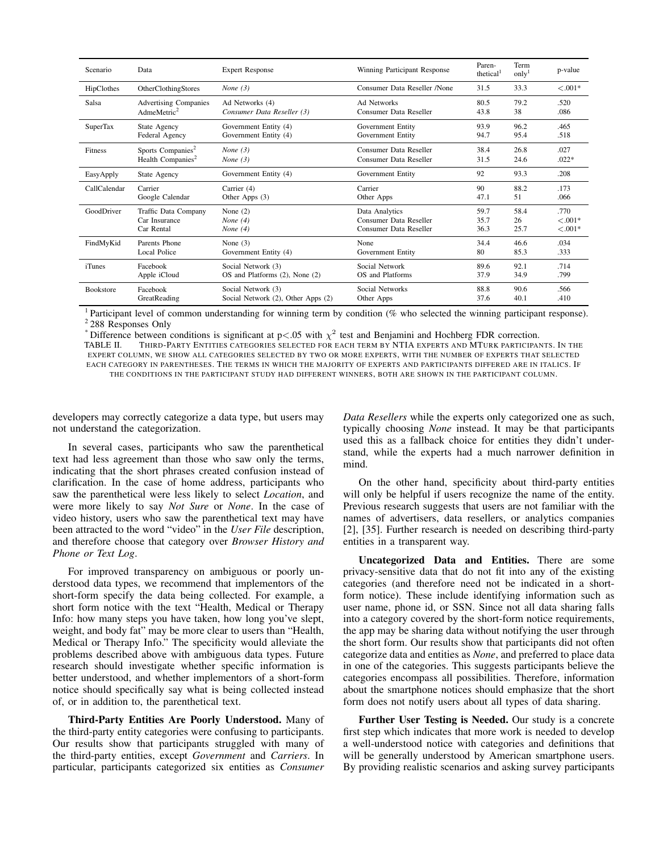| Scenario         | Data                          | <b>Expert Response</b>             | Winning Participant Response | Paren-<br>thetical <sup>1</sup> | Term<br>only <sup>1</sup> | p-value    |
|------------------|-------------------------------|------------------------------------|------------------------------|---------------------------------|---------------------------|------------|
| HipClothes       | OtherClothingStores           | None $(3)$                         | Consumer Data Reseller /None | 31.5                            | 33.3                      | $< 0.001*$ |
| Salsa            | <b>Advertising Companies</b>  | Ad Networks (4)                    | Ad Networks                  | 80.5                            | 79.2                      | .520       |
|                  | AdmeMetric <sup>2</sup>       | Consumer Data Reseller (3)         | Consumer Data Reseller       | 43.8                            | 38                        | .086       |
| <b>SuperTax</b>  | State Agency                  | Government Entity (4)              | Government Entity            | 93.9                            | 96.2                      | .465       |
|                  | Federal Agency                | Government Entity (4)              | Government Entity            | 94.7                            | 95.4                      | .518       |
| Fitness          | Sports Companies <sup>2</sup> | None $(3)$                         | Consumer Data Reseller       | 38.4                            | 26.8                      | .027       |
|                  | Health Companies <sup>2</sup> | None $(3)$                         | Consumer Data Reseller       | 31.5                            | 24.6                      | $.022*$    |
| EasyApply        | State Agency                  | Government Entity (4)              | Government Entity            | 92                              | 93.3                      | .208       |
| CallCalendar     | Carrier                       | Carrier (4)                        | Carrier                      | 90                              | 88.2                      | .173       |
|                  | Google Calendar               | Other Apps $(3)$                   | Other Apps                   | 47.1                            | 51                        | .066       |
| GoodDriver       | Traffic Data Company          | None $(2)$                         | Data Analytics               | 59.7                            | 58.4                      | .770       |
|                  | Car Insurance                 | None $(4)$                         | Consumer Data Reseller       | 35.7                            | 26                        | $< 0.001*$ |
|                  | Car Rental                    | None $(4)$                         | Consumer Data Reseller       | 36.3                            | 25.7                      | $< .001*$  |
| FindMyKid        | Parents Phone                 | None $(3)$                         | None                         | 34.4                            | 46.6                      | .034       |
|                  | <b>Local Police</b>           | Government Entity (4)              | Government Entity            | 80                              | 85.3                      | .333       |
| <i>i</i> Tunes   | Facebook                      | Social Network (3)                 | Social Network               | 89.6                            | 92.1                      | .714       |
|                  | Apple iCloud                  | OS and Platforms (2), None (2)     | OS and Platforms             | 37.9                            | 34.9                      | .799       |
| <b>Bookstore</b> | Facebook                      | Social Network (3)                 | Social Networks              | 88.8                            | 90.6                      | .566       |
|                  | GreatReading                  | Social Network (2), Other Apps (2) | Other Apps                   | 37.6                            | 40.1                      | .410       |

<sup>1</sup> Participant level of common understanding for winning term by condition (% who selected the winning participant response). <sup>2</sup> 288 Responses Only

\* Difference between conditions is significant at  $p<.05$  with  $\chi^2$  test and Benjamini and Hochberg FDR correction.

TABLE II. THIRD-PARTY ENTITIES CATEGORIES SELECTED FOR EACH TERM BY NTIA EXPERTS AND MTURK PARTICIPANTS. IN THE EXPERT COLUMN, WE SHOW ALL CATEGORIES SELECTED BY TWO OR MORE EXPERTS, WITH THE NUMBER OF EXPERTS THAT SELECTED EACH CATEGORY IN PARENTHESES. THE TERMS IN WHICH THE MAJORITY OF EXPERTS AND PARTICIPANTS DIFFERED ARE IN ITALICS. IF THE CONDITIONS IN THE PARTICIPANT STUDY HAD DIFFERENT WINNERS, BOTH ARE SHOWN IN THE PARTICIPANT COLUMN.

developers may correctly categorize a data type, but users may not understand the categorization.

In several cases, participants who saw the parenthetical text had less agreement than those who saw only the terms, indicating that the short phrases created confusion instead of clarification. In the case of home address, participants who saw the parenthetical were less likely to select *Location*, and were more likely to say *Not Sure* or *None*. In the case of video history, users who saw the parenthetical text may have been attracted to the word "video" in the *User File* description, and therefore choose that category over *Browser History and Phone or Text Log*.

For improved transparency on ambiguous or poorly understood data types, we recommend that implementors of the short-form specify the data being collected. For example, a short form notice with the text "Health, Medical or Therapy Info: how many steps you have taken, how long you've slept, weight, and body fat" may be more clear to users than "Health, Medical or Therapy Info." The specificity would alleviate the problems described above with ambiguous data types. Future research should investigate whether specific information is better understood, and whether implementors of a short-form notice should specifically say what is being collected instead of, or in addition to, the parenthetical text.

Third-Party Entities Are Poorly Understood. Many of the third-party entity categories were confusing to participants. Our results show that participants struggled with many of the third-party entities, except *Government* and *Carriers*. In particular, participants categorized six entities as *Consumer* *Data Resellers* while the experts only categorized one as such, typically choosing *None* instead. It may be that participants used this as a fallback choice for entities they didn't understand, while the experts had a much narrower definition in mind.

On the other hand, specificity about third-party entities will only be helpful if users recognize the name of the entity. Previous research suggests that users are not familiar with the names of advertisers, data resellers, or analytics companies [2], [35]. Further research is needed on describing third-party entities in a transparent way.

Uncategorized Data and Entities. There are some privacy-sensitive data that do not fit into any of the existing categories (and therefore need not be indicated in a shortform notice). These include identifying information such as user name, phone id, or SSN. Since not all data sharing falls into a category covered by the short-form notice requirements, the app may be sharing data without notifying the user through the short form. Our results show that participants did not often categorize data and entities as *None*, and preferred to place data in one of the categories. This suggests participants believe the categories encompass all possibilities. Therefore, information about the smartphone notices should emphasize that the short form does not notify users about all types of data sharing.

Further User Testing is Needed. Our study is a concrete first step which indicates that more work is needed to develop a well-understood notice with categories and definitions that will be generally understood by American smartphone users. By providing realistic scenarios and asking survey participants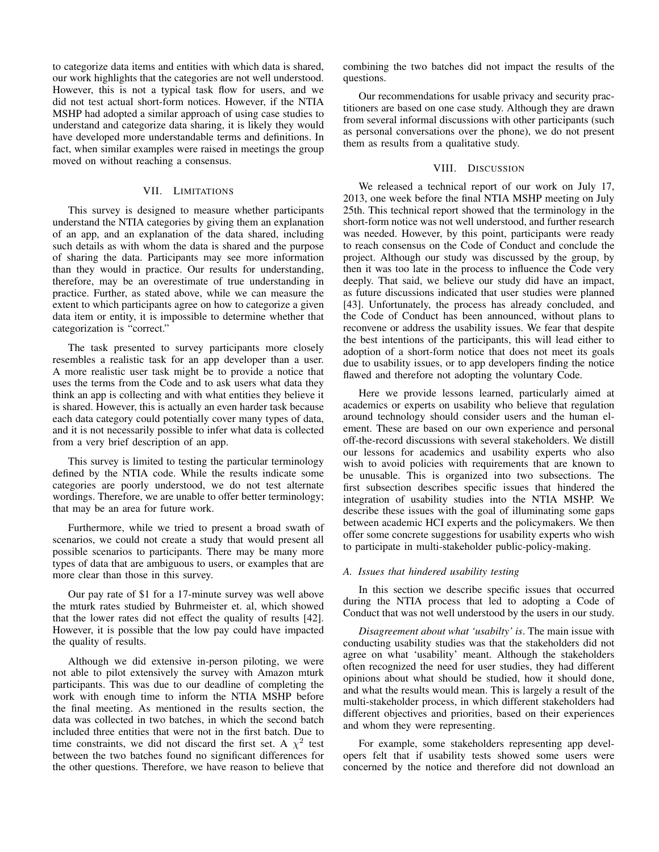to categorize data items and entities with which data is shared, our work highlights that the categories are not well understood. However, this is not a typical task flow for users, and we did not test actual short-form notices. However, if the NTIA MSHP had adopted a similar approach of using case studies to understand and categorize data sharing, it is likely they would have developed more understandable terms and definitions. In fact, when similar examples were raised in meetings the group moved on without reaching a consensus.

### VII. LIMITATIONS

This survey is designed to measure whether participants understand the NTIA categories by giving them an explanation of an app, and an explanation of the data shared, including such details as with whom the data is shared and the purpose of sharing the data. Participants may see more information than they would in practice. Our results for understanding, therefore, may be an overestimate of true understanding in practice. Further, as stated above, while we can measure the extent to which participants agree on how to categorize a given data item or entity, it is impossible to determine whether that categorization is "correct."

The task presented to survey participants more closely resembles a realistic task for an app developer than a user. A more realistic user task might be to provide a notice that uses the terms from the Code and to ask users what data they think an app is collecting and with what entities they believe it is shared. However, this is actually an even harder task because each data category could potentially cover many types of data, and it is not necessarily possible to infer what data is collected from a very brief description of an app.

This survey is limited to testing the particular terminology defined by the NTIA code. While the results indicate some categories are poorly understood, we do not test alternate wordings. Therefore, we are unable to offer better terminology; that may be an area for future work.

Furthermore, while we tried to present a broad swath of scenarios, we could not create a study that would present all possible scenarios to participants. There may be many more types of data that are ambiguous to users, or examples that are more clear than those in this survey.

Our pay rate of \$1 for a 17-minute survey was well above the mturk rates studied by Buhrmeister et. al, which showed that the lower rates did not effect the quality of results [42]. However, it is possible that the low pay could have impacted the quality of results.

Although we did extensive in-person piloting, we were not able to pilot extensively the survey with Amazon mturk participants. This was due to our deadline of completing the work with enough time to inform the NTIA MSHP before the final meeting. As mentioned in the results section, the data was collected in two batches, in which the second batch included three entities that were not in the first batch. Due to time constraints, we did not discard the first set. A  $\chi^2$  test between the two batches found no significant differences for the other questions. Therefore, we have reason to believe that combining the two batches did not impact the results of the questions.

Our recommendations for usable privacy and security practitioners are based on one case study. Although they are drawn from several informal discussions with other participants (such as personal conversations over the phone), we do not present them as results from a qualitative study.

### VIII. DISCUSSION

We released a technical report of our work on July 17, 2013, one week before the final NTIA MSHP meeting on July 25th. This technical report showed that the terminology in the short-form notice was not well understood, and further research was needed. However, by this point, participants were ready to reach consensus on the Code of Conduct and conclude the project. Although our study was discussed by the group, by then it was too late in the process to influence the Code very deeply. That said, we believe our study did have an impact, as future discussions indicated that user studies were planned [43]. Unfortunately, the process has already concluded, and the Code of Conduct has been announced, without plans to reconvene or address the usability issues. We fear that despite the best intentions of the participants, this will lead either to adoption of a short-form notice that does not meet its goals due to usability issues, or to app developers finding the notice flawed and therefore not adopting the voluntary Code.

Here we provide lessons learned, particularly aimed at academics or experts on usability who believe that regulation around technology should consider users and the human element. These are based on our own experience and personal off-the-record discussions with several stakeholders. We distill our lessons for academics and usability experts who also wish to avoid policies with requirements that are known to be unusable. This is organized into two subsections. The first subsection describes specific issues that hindered the integration of usability studies into the NTIA MSHP. We describe these issues with the goal of illuminating some gaps between academic HCI experts and the policymakers. We then offer some concrete suggestions for usability experts who wish to participate in multi-stakeholder public-policy-making.

#### *A. Issues that hindered usability testing*

In this section we describe specific issues that occurred during the NTIA process that led to adopting a Code of Conduct that was not well understood by the users in our study.

*Disagreement about what 'usabilty' is*. The main issue with conducting usability studies was that the stakeholders did not agree on what 'usability' meant. Although the stakeholders often recognized the need for user studies, they had different opinions about what should be studied, how it should done, and what the results would mean. This is largely a result of the multi-stakeholder process, in which different stakeholders had different objectives and priorities, based on their experiences and whom they were representing.

For example, some stakeholders representing app developers felt that if usability tests showed some users were concerned by the notice and therefore did not download an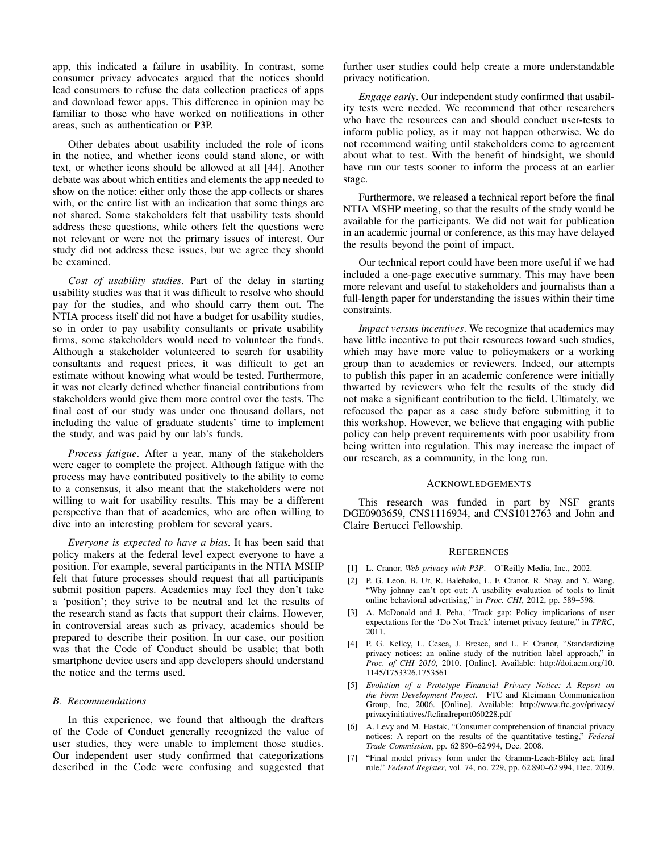app, this indicated a failure in usability. In contrast, some consumer privacy advocates argued that the notices should lead consumers to refuse the data collection practices of apps and download fewer apps. This difference in opinion may be familiar to those who have worked on notifications in other areas, such as authentication or P3P.

Other debates about usability included the role of icons in the notice, and whether icons could stand alone, or with text, or whether icons should be allowed at all [44]. Another debate was about which entities and elements the app needed to show on the notice: either only those the app collects or shares with, or the entire list with an indication that some things are not shared. Some stakeholders felt that usability tests should address these questions, while others felt the questions were not relevant or were not the primary issues of interest. Our study did not address these issues, but we agree they should be examined.

*Cost of usability studies*. Part of the delay in starting usability studies was that it was difficult to resolve who should pay for the studies, and who should carry them out. The NTIA process itself did not have a budget for usability studies, so in order to pay usability consultants or private usability firms, some stakeholders would need to volunteer the funds. Although a stakeholder volunteered to search for usability consultants and request prices, it was difficult to get an estimate without knowing what would be tested. Furthermore, it was not clearly defined whether financial contributions from stakeholders would give them more control over the tests. The final cost of our study was under one thousand dollars, not including the value of graduate students' time to implement the study, and was paid by our lab's funds.

*Process fatigue*. After a year, many of the stakeholders were eager to complete the project. Although fatigue with the process may have contributed positively to the ability to come to a consensus, it also meant that the stakeholders were not willing to wait for usability results. This may be a different perspective than that of academics, who are often willing to dive into an interesting problem for several years.

*Everyone is expected to have a bias*. It has been said that policy makers at the federal level expect everyone to have a position. For example, several participants in the NTIA MSHP felt that future processes should request that all participants submit position papers. Academics may feel they don't take a 'position'; they strive to be neutral and let the results of the research stand as facts that support their claims. However, in controversial areas such as privacy, academics should be prepared to describe their position. In our case, our position was that the Code of Conduct should be usable; that both smartphone device users and app developers should understand the notice and the terms used.

## *B. Recommendations*

In this experience, we found that although the drafters of the Code of Conduct generally recognized the value of user studies, they were unable to implement those studies. Our independent user study confirmed that categorizations described in the Code were confusing and suggested that further user studies could help create a more understandable privacy notification.

*Engage early*. Our independent study confirmed that usability tests were needed. We recommend that other researchers who have the resources can and should conduct user-tests to inform public policy, as it may not happen otherwise. We do not recommend waiting until stakeholders come to agreement about what to test. With the benefit of hindsight, we should have run our tests sooner to inform the process at an earlier stage.

Furthermore, we released a technical report before the final NTIA MSHP meeting, so that the results of the study would be available for the participants. We did not wait for publication in an academic journal or conference, as this may have delayed the results beyond the point of impact.

Our technical report could have been more useful if we had included a one-page executive summary. This may have been more relevant and useful to stakeholders and journalists than a full-length paper for understanding the issues within their time constraints.

*Impact versus incentives*. We recognize that academics may have little incentive to put their resources toward such studies, which may have more value to policymakers or a working group than to academics or reviewers. Indeed, our attempts to publish this paper in an academic conference were initially thwarted by reviewers who felt the results of the study did not make a significant contribution to the field. Ultimately, we refocused the paper as a case study before submitting it to this workshop. However, we believe that engaging with public policy can help prevent requirements with poor usability from being written into regulation. This may increase the impact of our research, as a community, in the long run.

#### ACKNOWLEDGEMENTS

This research was funded in part by NSF grants DGE0903659, CNS1116934, and CNS1012763 and John and Claire Bertucci Fellowship.

#### **REFERENCES**

- [1] L. Cranor, *Web privacy with P3P*. O'Reilly Media, Inc., 2002.
- [2] P. G. Leon, B. Ur, R. Balebako, L. F. Cranor, R. Shay, and Y. Wang, "Why johnny can't opt out: A usability evaluation of tools to limit online behavioral advertising," in *Proc. CHI*, 2012, pp. 589–598.
- [3] A. McDonald and J. Peha, "Track gap: Policy implications of user expectations for the 'Do Not Track' internet privacy feature," in *TPRC*, 2011.
- [4] P. G. Kelley, L. Cesca, J. Bresee, and L. F. Cranor, "Standardizing privacy notices: an online study of the nutrition label approach," in *Proc. of CHI 2010*, 2010. [Online]. Available: http://doi.acm.org/10. 1145/1753326.1753561
- [5] *Evolution of a Prototype Financial Privacy Notice: A Report on the Form Development Project*. FTC and Kleimann Communication Group, Inc, 2006. [Online]. Available: http://www.ftc.gov/privacy/ privacyinitiatives/ftcfinalreport060228.pdf
- [6] A. Levy and M. Hastak, "Consumer comprehension of financial privacy notices: A report on the results of the quantitative testing," *Federal Trade Commission*, pp. 62 890–62 994, Dec. 2008.
- [7] "Final model privacy form under the Gramm-Leach-Bliley act; final rule," *Federal Register*, vol. 74, no. 229, pp. 62 890–62 994, Dec. 2009.